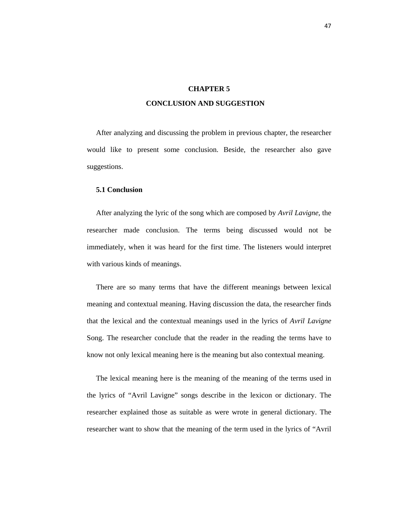## **CHAPTER 5**

## **CONCLUSION AND SUGGESTION**

 After analyzing and discussing the problem in previous chapter, the researcher would like to present some conclusion. Beside, the researcher also gave suggestions.

## **5.1 Conclusion**

 After analyzing the lyric of the song which are composed by *Avril Lavigne,* the researcher made conclusion. The terms being discussed would not be immediately, when it was heard for the first time. The listeners would interpret with various kinds of meanings.

 There are so many terms that have the different meanings between lexical meaning and contextual meaning. Having discussion the data, the researcher finds that the lexical and the contextual meanings used in the lyrics of *Avril Lavigne* Song. The researcher conclude that the reader in the reading the terms have to know not only lexical meaning here is the meaning but also contextual meaning.

 The lexical meaning here is the meaning of the meaning of the terms used in the lyrics of "Avril Lavigne" songs describe in the lexicon or dictionary. The researcher explained those as suitable as were wrote in general dictionary. The researcher want to show that the meaning of the term used in the lyrics of "Avril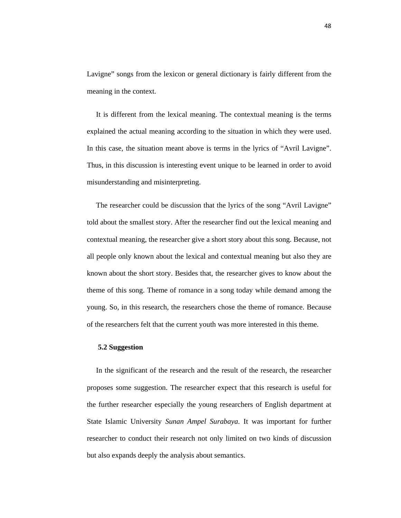Lavigne" songs from the lexicon or general dictionary is fairly different from the meaning in the context.

 It is different from the lexical meaning. The contextual meaning is the terms explained the actual meaning according to the situation in which they were used. In this case, the situation meant above is terms in the lyrics of "Avril Lavigne". Thus, in this discussion is interesting event unique to be learned in order to avoid misunderstanding and misinterpreting.

 The researcher could be discussion that the lyrics of the song "Avril Lavigne" told about the smallest story. After the researcher find out the lexical meaning and contextual meaning, the researcher give a short story about this song. Because, not all people only known about the lexical and contextual meaning but also they are known about the short story. Besides that, the researcher gives to know about the theme of this song. Theme of romance in a song today while demand among the young. So, in this research, the researchers chose the theme of romance. Because of the researchers felt that the current youth was more interested in this theme.

## **5.2 Suggestion**

In the significant of the research and the result of the research, the researcher proposes some suggestion. The researcher expect that this research is useful for the further researcher especially the young researchers of English department at State Islamic University *Sunan Ampel Surabaya*. It was important for further researcher to conduct their research not only limited on two kinds of discussion but also expands deeply the analysis about semantics.